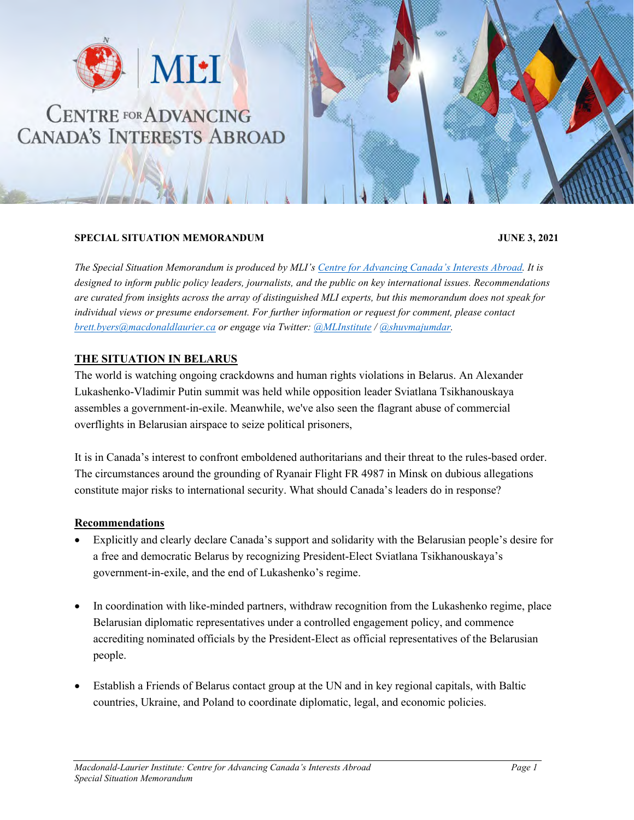

## **CENTRE FOR ADVANCING CANADA'S INTERESTS ABROAD**

## **SPECIAL SITUATION MEMORANDUM JUNE 3, 2021**

*The Special Situation Memorandum is produced by MLI's [Centre for Advancing Canada's Interests Abroad.](https://www.macdonaldlaurier.ca/cacia/) It is designed to inform public policy leaders, journalists, and the public on key international issues. Recommendations are curated from insights across the array of distinguished MLI experts, but this memorandum does not speak for individual views or presume endorsement. For further information or request for comment, please contact [brett.byers@macdonaldlaurier.ca](mailto:brett.byers@macdonaldlaurier.ca) or engage via Twitter: [@MLInstitute](https://twitter.com/MLInstitute) / [@shuvmajumdar.](https://twitter.com/shuvmajumdar)* 

## **THE SITUATION IN BELARUS**

The world is watching ongoing crackdowns and human rights violations in Belarus. An Alexander Lukashenko-Vladimir Putin summit was held while opposition leader Sviatlana Tsikhanouskaya assembles a government-in-exile. Meanwhile, we've also seen the flagrant abuse of commercial overflights in Belarusian airspace to seize political prisoners,

It is in Canada's interest to confront emboldened authoritarians and their threat to the rules-based order. The circumstances around the grounding of Ryanair Flight FR 4987 in Minsk on dubious allegations constitute major risks to international security. What should Canada's leaders do in response?

## **Recommendations**

- Explicitly and clearly declare Canada's support and solidarity with the Belarusian people's desire for a free and democratic Belarus by recognizing President-Elect Sviatlana Tsikhanouskaya's government-in-exile, and the end of Lukashenko's regime.
- In coordination with like-minded partners, withdraw recognition from the Lukashenko regime, place Belarusian diplomatic representatives under a controlled engagement policy, and commence accrediting nominated officials by the President-Elect as official representatives of the Belarusian people.
- Establish a Friends of Belarus contact group at the UN and in key regional capitals, with Baltic countries, Ukraine, and Poland to coordinate diplomatic, legal, and economic policies.